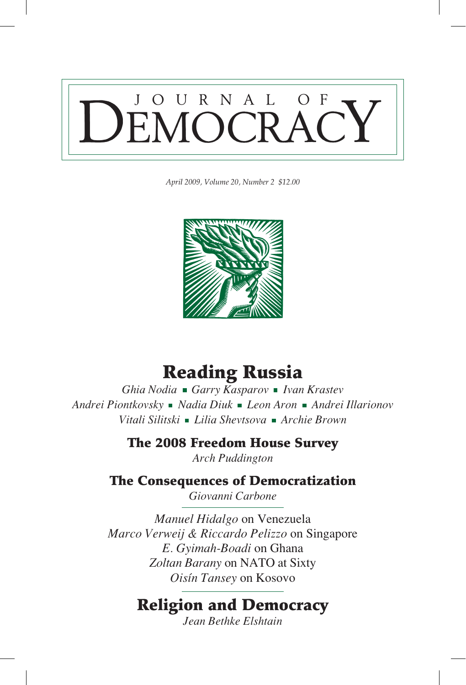# LOURNAL OF VENICY

*April 2009, Volume 20, Number 2 \$12.00*



## Reading Russia

*Ghia Nodia Garry Kasparov Ivan Krastev Andrei Piontkovsky Nadia Diuk Leon Aron Andrei Illarionov Vitali Silitski Lilia Shevtsova Archie Brown* 

The 2008 Freedom House Survey

*Arch Puddington*

The Consequences of Democratization

*Giovanni Carbone*

*Manuel Hidalgo* on Venezuela *Marco Verweij & Riccardo Pelizzo* on Singapore *E. Gyimah-Boadi* on Ghana *Zoltan Barany* on NATO at Sixty *Oisín Tansey* on Kosovo

## Religion and Democracy

*Jean Bethke Elshtain*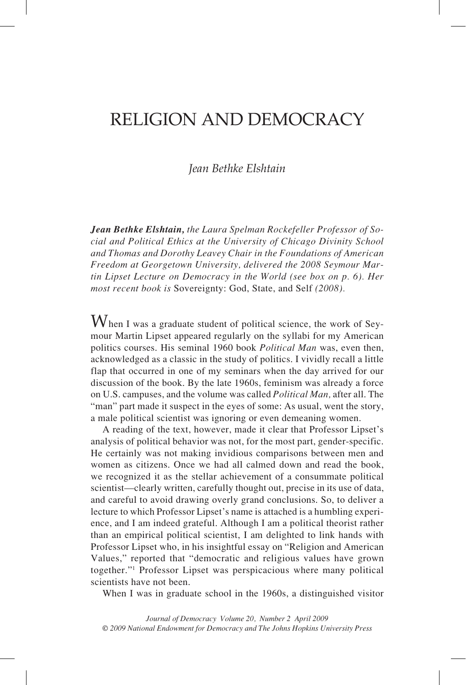## religion and democracy

#### *Jean Bethke Elshtain*

*Jean Bethke Elshtain, the Laura Spelman Rockefeller Professor of Social and Political Ethics at the University of Chicago Divinity School and Thomas and Dorothy Leavey Chair in the Foundations of American Freedom at Georgetown University, delivered the 2008 Seymour Martin Lipset Lecture on Democracy in the World (see box on p. 6). Her most recent book is* Sovereignty: God, State, and Self *(2008).*

When I was a graduate student of political science, the work of Seymour Martin Lipset appeared regularly on the syllabi for my American politics courses. His seminal 1960 book *Political Man* was, even then, acknowledged as a classic in the study of politics. I vividly recall a little flap that occurred in one of my seminars when the day arrived for our discussion of the book. By the late 1960s, feminism was already a force on U.S. campuses, and the volume was called *Political Man,* after all. The "man" part made it suspect in the eyes of some: As usual, went the story, a male political scientist was ignoring or even demeaning women.

A reading of the text, however, made it clear that Professor Lipset's analysis of political behavior was not, for the most part, gender-specific. He certainly was not making invidious comparisons between men and women as citizens. Once we had all calmed down and read the book, we recognized it as the stellar achievement of a consummate political scientist—clearly written, carefully thought out, precise in its use of data, and careful to avoid drawing overly grand conclusions. So, to deliver a lecture to which Professor Lipset's name is attached is a humbling experience, and I am indeed grateful. Although I am a political theorist rather than an empirical political scientist, I am delighted to link hands with Professor Lipset who, in his insightful essay on "Religion and American Values," reported that "democratic and religious values have grown together."1 Professor Lipset was perspicacious where many political scientists have not been.

When I was in graduate school in the 1960s, a distinguished visitor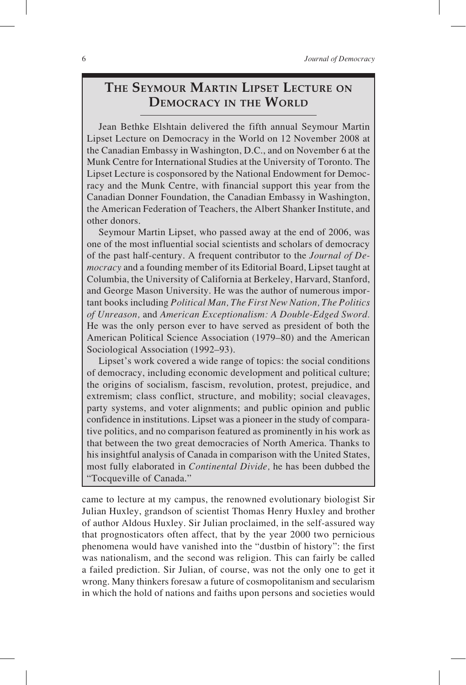### **The Seymour Martin Lipset Lecture on Democracy in the World**

Jean Bethke Elshtain delivered the fifth annual Seymour Martin Lipset Lecture on Democracy in the World on 12 November 2008 at the Canadian Embassy in Washington, D.C., and on November 6 at the Munk Centre for International Studies at the University of Toronto. The Lipset Lecture is cosponsored by the National Endowment for Democracy and the Munk Centre, with financial support this year from the Canadian Donner Foundation, the Canadian Embassy in Washington, the American Federation of Teachers, the Albert Shanker Institute, and other donors.

Seymour Martin Lipset, who passed away at the end of 2006, was one of the most influential social scientists and scholars of democracy of the past half-century. A frequent contributor to the *Journal of Democracy* and a founding member of its Editorial Board, Lipset taught at Columbia, the University of California at Berkeley, Harvard, Stanford, and George Mason University. He was the author of numerous important books including *Political Man, The First New Nation, The Politics of Unreason,* and *American Exceptionalism: A Double-Edged Sword.* He was the only person ever to have served as president of both the American Political Science Association (1979–80) and the American Sociological Association (1992–93).

Lipset's work covered a wide range of topics: the social conditions of democracy, including economic development and political culture; the origins of socialism, fascism, revolution, protest, prejudice, and extremism; class conflict, structure, and mobility; social cleavages, party systems, and voter alignments; and public opinion and public confidence in institutions. Lipset was a pioneer in the study of comparative politics, and no comparison featured as prominently in his work as that between the two great democracies of North America. Thanks to his insightful analysis of Canada in comparison with the United States, most fully elaborated in *Continental Divide,* he has been dubbed the "Tocqueville of Canada."

came to lecture at my campus, the renowned evolutionary biologist Sir Julian Huxley, grandson of scientist Thomas Henry Huxley and brother of author Aldous Huxley. Sir Julian proclaimed, in the self-assured way that prognosticators often affect, that by the year 2000 two pernicious phenomena would have vanished into the "dustbin of history": the first was nationalism, and the second was religion. This can fairly be called a failed prediction. Sir Julian, of course, was not the only one to get it wrong. Many thinkers foresaw a future of cosmopolitanism and secularism in which the hold of nations and faiths upon persons and societies would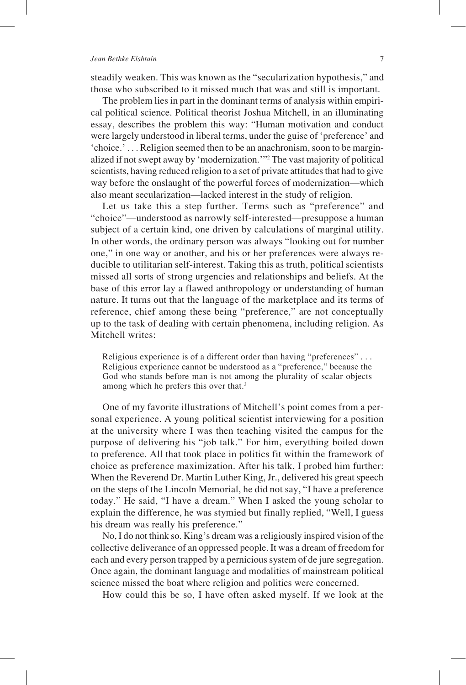steadily weaken. This was known as the "secularization hypothesis," and those who subscribed to it missed much that was and still is important.

The problem lies in part in the dominant terms of analysis within empirical political science. Political theorist Joshua Mitchell, in an illuminating essay, describes the problem this way: "Human motivation and conduct were largely understood in liberal terms, under the guise of 'preference' and 'choice.' . . . Religion seemed then to be an anachronism, soon to be marginalized if not swept away by 'modernization.'"2 The vast majority of political scientists, having reduced religion to a set of private attitudes that had to give way before the onslaught of the powerful forces of modernization—which also meant secularization—lacked interest in the study of religion.

Let us take this a step further. Terms such as "preference" and "choice"—understood as narrowly self-interested—presuppose a human subject of a certain kind, one driven by calculations of marginal utility. In other words, the ordinary person was always "looking out for number one," in one way or another, and his or her preferences were always reducible to utilitarian self-interest. Taking this as truth, political scientists missed all sorts of strong urgencies and relationships and beliefs. At the base of this error lay a flawed anthropology or understanding of human nature. It turns out that the language of the marketplace and its terms of reference, chief among these being "preference," are not conceptually up to the task of dealing with certain phenomena, including religion. As Mitchell writes:

Religious experience is of a different order than having "preferences" . . . Religious experience cannot be understood as a "preference," because the God who stands before man is not among the plurality of scalar objects among which he prefers this over that.<sup>3</sup>

One of my favorite illustrations of Mitchell's point comes from a personal experience. A young political scientist interviewing for a position at the university where I was then teaching visited the campus for the purpose of delivering his "job talk." For him, everything boiled down to preference. All that took place in politics fit within the framework of choice as preference maximization. After his talk, I probed him further: When the Reverend Dr. Martin Luther King, Jr., delivered his great speech on the steps of the Lincoln Memorial, he did not say, "I have a preference today." He said, "I have a dream." When I asked the young scholar to explain the difference, he was stymied but finally replied, "Well, I guess his dream was really his preference."

No, I do not think so. King's dream was a religiously inspired vision of the collective deliverance of an oppressed people. It was a dream of freedom for each and every person trapped by a pernicious system of de jure segregation. Once again, the dominant language and modalities of mainstream political science missed the boat where religion and politics were concerned.

How could this be so, I have often asked myself. If we look at the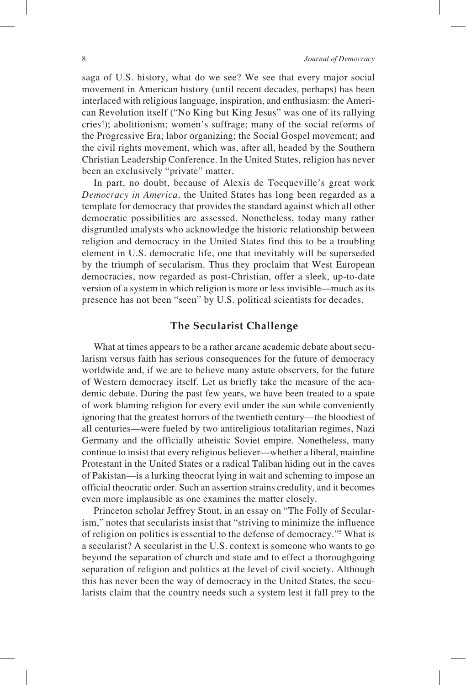saga of U.S. history, what do we see? We see that every major social movement in American history (until recent decades, perhaps) has been interlaced with religious language, inspiration, and enthusiasm: the American Revolution itself ("No King but King Jesus" was one of its rallying cries<sup>4</sup>); abolitionism; women's suffrage; many of the social reforms of the Progressive Era; labor organizing; the Social Gospel movement; and the civil rights movement, which was, after all, headed by the Southern Christian Leadership Conference. In the United States, religion has never been an exclusively "private" matter.

In part, no doubt, because of Alexis de Tocqueville's great work *Democracy in America,* the United States has long been regarded as a template for democracy that provides the standard against which all other democratic possibilities are assessed. Nonetheless, today many rather disgruntled analysts who acknowledge the historic relationship between religion and democracy in the United States find this to be a troubling element in U.S. democratic life, one that inevitably will be superseded by the triumph of secularism. Thus they proclaim that West European democracies, now regarded as post-Christian, offer a sleek, up-to-date version of a system in which religion is more or less invisible—much as its presence has not been "seen" by U.S. political scientists for decades.

#### **The Secularist Challenge**

What at times appears to be a rather arcane academic debate about secularism versus faith has serious consequences for the future of democracy worldwide and, if we are to believe many astute observers, for the future of Western democracy itself. Let us briefly take the measure of the academic debate. During the past few years, we have been treated to a spate of work blaming religion for every evil under the sun while conveniently ignoring that the greatest horrors of the twentieth century—the bloodiest of all centuries—were fueled by two antireligious totalitarian regimes, Nazi Germany and the officially atheistic Soviet empire. Nonetheless, many continue to insist that every religious believer—whether a liberal, mainline Protestant in the United States or a radical Taliban hiding out in the caves of Pakistan—is a lurking theocrat lying in wait and scheming to impose an official theocratic order. Such an assertion strains credulity, and it becomes even more implausible as one examines the matter closely.

Princeton scholar Jeffrey Stout, in an essay on "The Folly of Secularism," notes that secularists insist that "striving to minimize the influence of religion on politics is essential to the defense of democracy."5 What is a secularist? A secularist in the U.S. context is someone who wants to go beyond the separation of church and state and to effect a thoroughgoing separation of religion and politics at the level of civil society. Although this has never been the way of democracy in the United States, the secularists claim that the country needs such a system lest it fall prey to the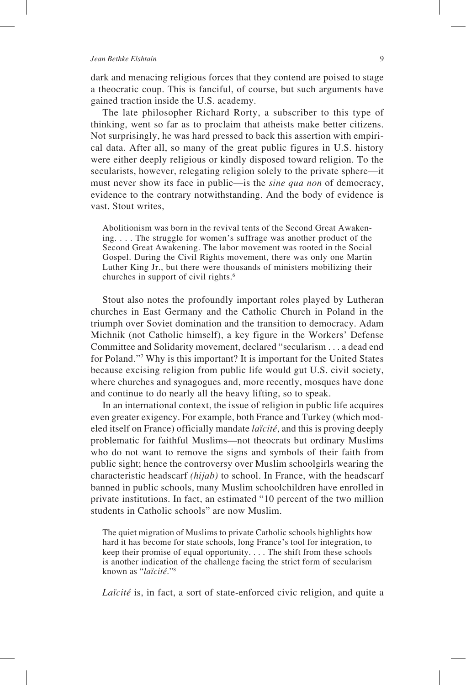dark and menacing religious forces that they contend are poised to stage a theocratic coup. This is fanciful, of course, but such arguments have gained traction inside the U.S. academy.

The late philosopher Richard Rorty, a subscriber to this type of thinking, went so far as to proclaim that atheists make better citizens. Not surprisingly, he was hard pressed to back this assertion with empirical data. After all, so many of the great public figures in U.S. history were either deeply religious or kindly disposed toward religion. To the secularists, however, relegating religion solely to the private sphere—it must never show its face in public—is the *sine qua non* of democracy, evidence to the contrary notwithstanding. And the body of evidence is vast. Stout writes,

Abolitionism was born in the revival tents of the Second Great Awakening. . . . The struggle for women's suffrage was another product of the Second Great Awakening. The labor movement was rooted in the Social Gospel. During the Civil Rights movement, there was only one Martin Luther King Jr., but there were thousands of ministers mobilizing their churches in support of civil rights.<sup>6</sup>

Stout also notes the profoundly important roles played by Lutheran churches in East Germany and the Catholic Church in Poland in the triumph over Soviet domination and the transition to democracy. Adam Michnik (not Catholic himself), a key figure in the Workers' Defense Committee and Solidarity movement, declared "secularism . . . a dead end for Poland."7 Why is this important? It is important for the United States because excising religion from public life would gut U.S. civil society, where churches and synagogues and, more recently, mosques have done and continue to do nearly all the heavy lifting, so to speak.

In an international context, the issue of religion in public life acquires even greater exigency. For example, both France and Turkey (which modeled itself on France) officially mandate *laïcité*, and this is proving deeply problematic for faithful Muslims—not theocrats but ordinary Muslims who do not want to remove the signs and symbols of their faith from public sight; hence the controversy over Muslim schoolgirls wearing the characteristic headscarf *(hijab)* to school. In France, with the headscarf banned in public schools, many Muslim schoolchildren have enrolled in private institutions. In fact, an estimated "10 percent of the two million students in Catholic schools" are now Muslim.

The quiet migration of Muslims to private Catholic schools highlights how hard it has become for state schools, long France's tool for integration, to keep their promise of equal opportunity. . . . The shift from these schools is another indication of the challenge facing the strict form of secularism known as "*la¦cité*."8

*Laïcité* is, in fact, a sort of state-enforced civic religion, and quite a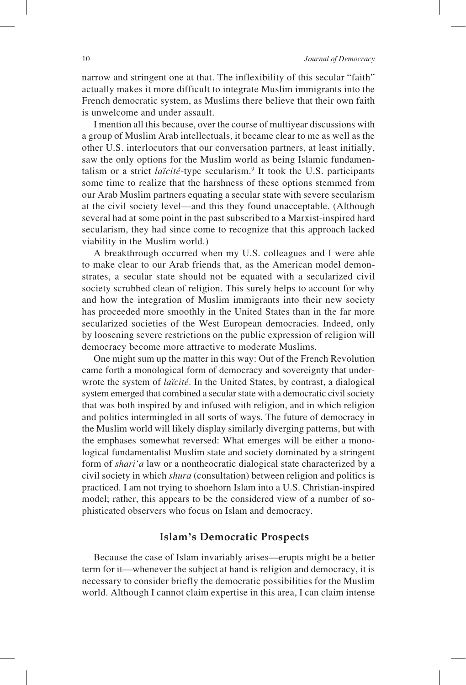narrow and stringent one at that. The inflexibility of this secular "faith" actually makes it more difficult to integrate Muslim immigrants into the French democratic system, as Muslims there believe that their own faith is unwelcome and under assault.

I mention all this because, over the course of multiyear discussions with a group of Muslim Arab intellectuals, it became clear to me as well as the other U.S. interlocutors that our conversation partners, at least initially, saw the only options for the Muslim world as being Islamic fundamentalism or a strict *laïcité*-type secularism.<sup>9</sup> It took the U.S. participants some time to realize that the harshness of these options stemmed from our Arab Muslim partners equating a secular state with severe secularism at the civil society level—and this they found unacceptable. (Although several had at some point in the past subscribed to a Marxist-inspired hard secularism, they had since come to recognize that this approach lacked viability in the Muslim world.)

A breakthrough occurred when my U.S. colleagues and I were able to make clear to our Arab friends that, as the American model demonstrates, a secular state should not be equated with a secularized civil society scrubbed clean of religion. This surely helps to account for why and how the integration of Muslim immigrants into their new society has proceeded more smoothly in the United States than in the far more secularized societies of the West European democracies. Indeed, only by loosening severe restrictions on the public expression of religion will democracy become more attractive to moderate Muslims.

One might sum up the matter in this way: Out of the French Revolution came forth a monological form of democracy and sovereignty that underwrote the system of *laïcité*. In the United States, by contrast, a dialogical system emerged that combined a secular state with a democratic civil society that was both inspired by and infused with religion, and in which religion and politics intermingled in all sorts of ways. The future of democracy in the Muslim world will likely display similarly diverging patterns, but with the emphases somewhat reversed: What emerges will be either a monological fundamentalist Muslim state and society dominated by a stringent form of *shari'a* law or a nontheocratic dialogical state characterized by a civil society in which *shura* (consultation) between religion and politics is practiced. I am not trying to shoehorn Islam into a U.S. Christian-inspired model; rather, this appears to be the considered view of a number of sophisticated observers who focus on Islam and democracy.

#### **Islam's Democratic Prospects**

Because the case of Islam invariably arises—erupts might be a better term for it—whenever the subject at hand is religion and democracy, it is necessary to consider briefly the democratic possibilities for the Muslim world. Although I cannot claim expertise in this area, I can claim intense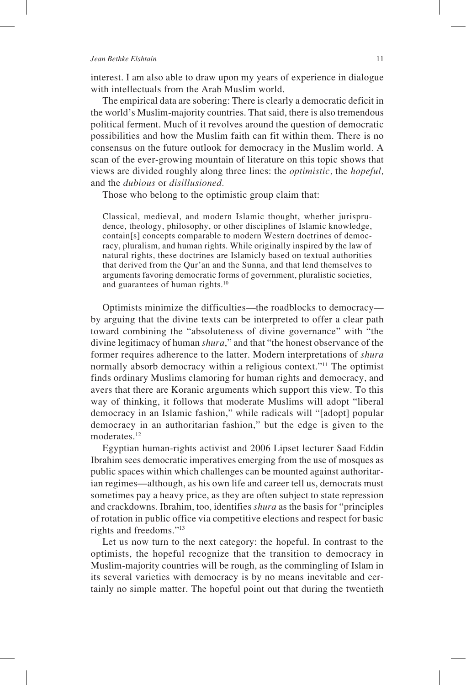interest. I am also able to draw upon my years of experience in dialogue with intellectuals from the Arab Muslim world.

The empirical data are sobering: There is clearly a democratic deficit in the world's Muslim-majority countries. That said, there is also tremendous political ferment. Much of it revolves around the question of democratic possibilities and how the Muslim faith can fit within them. There is no consensus on the future outlook for democracy in the Muslim world. A scan of the ever-growing mountain of literature on this topic shows that views are divided roughly along three lines: the *optimistic,* the *hopeful,*  and the *dubious* or *disillusioned.*

Those who belong to the optimistic group claim that:

Classical, medieval, and modern Islamic thought, whether jurisprudence, theology, philosophy, or other disciplines of Islamic knowledge, contain[s] concepts comparable to modern Western doctrines of democracy, pluralism, and human rights. While originally inspired by the law of natural rights, these doctrines are Islamicly based on textual authorities that derived from the Qur'an and the Sunna, and that lend themselves to arguments favoring democratic forms of government, pluralistic societies, and guarantees of human rights.<sup>10</sup>

Optimists minimize the difficulties—the roadblocks to democracy by arguing that the divine texts can be interpreted to offer a clear path toward combining the "absoluteness of divine governance" with "the divine legitimacy of human *shura*," and that "the honest observance of the former requires adherence to the latter. Modern interpretations of *shura* normally absorb democracy within a religious context."11 The optimist finds ordinary Muslims clamoring for human rights and democracy, and avers that there are Koranic arguments which support this view. To this way of thinking, it follows that moderate Muslims will adopt "liberal democracy in an Islamic fashion," while radicals will "[adopt] popular democracy in an authoritarian fashion," but the edge is given to the moderates.<sup>12</sup>

Egyptian human-rights activist and 2006 Lipset lecturer Saad Eddin Ibrahim sees democratic imperatives emerging from the use of mosques as public spaces within which challenges can be mounted against authoritarian regimes—although, as his own life and career tell us, democrats must sometimes pay a heavy price, as they are often subject to state repression and crackdowns. Ibrahim, too, identifies *shura* as the basis for "principles of rotation in public office via competitive elections and respect for basic rights and freedoms."13

Let us now turn to the next category: the hopeful. In contrast to the optimists, the hopeful recognize that the transition to democracy in Muslim-majority countries will be rough, as the commingling of Islam in its several varieties with democracy is by no means inevitable and certainly no simple matter. The hopeful point out that during the twentieth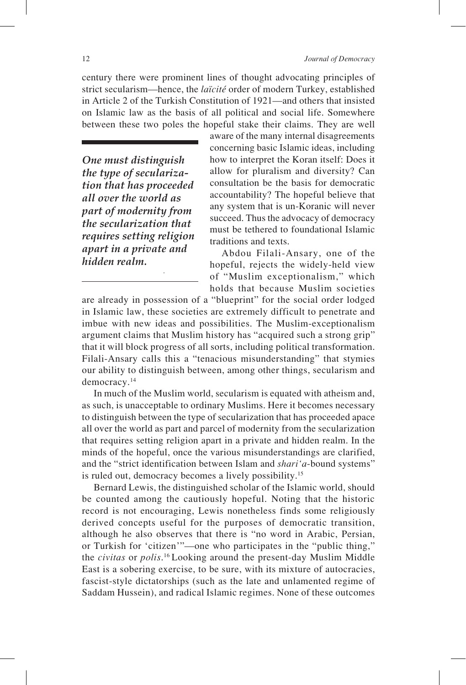century there were prominent lines of thought advocating principles of strict secularism—hence, the *la¦cité* order of modern Turkey, established in Article 2 of the Turkish Constitution of 1921—and others that insisted on Islamic law as the basis of all political and social life. Somewhere between these two poles the hopeful stake their claims. They are well

*One must distinguish the type of secularization that has proceeded all over the world as part of modernity from the secularization that requires setting religion apart in a private and hidden realm.*

aware of the many internal disagreements concerning basic Islamic ideas, including how to interpret the Koran itself: Does it allow for pluralism and diversity? Can consultation be the basis for democratic accountability? The hopeful believe that any system that is un-Koranic will never succeed. Thus the advocacy of democracy must be tethered to foundational Islamic traditions and texts.

Abdou Filali-Ansary, one of the hopeful, rejects the widely-held view of "Muslim exceptionalism," which holds that because Muslim societies

are already in possession of a "blueprint" for the social order lodged in Islamic law, these societies are extremely difficult to penetrate and imbue with new ideas and possibilities. The Muslim-exceptionalism argument claims that Muslim history has "acquired such a strong grip" that it will block progress of all sorts, including political transformation. Filali-Ansary calls this a "tenacious misunderstanding" that stymies our ability to distinguish between, among other things, secularism and democracy.14

In much of the Muslim world, secularism is equated with atheism and, as such, is unacceptable to ordinary Muslims. Here it becomes necessary to distinguish between the type of secularization that has proceeded apace all over the world as part and parcel of modernity from the secularization that requires setting religion apart in a private and hidden realm. In the minds of the hopeful, once the various misunderstandings are clarified, and the "strict identification between Islam and *shari'a*-bound systems" is ruled out, democracy becomes a lively possibility.15

Bernard Lewis, the distinguished scholar of the Islamic world, should be counted among the cautiously hopeful. Noting that the historic record is not encouraging, Lewis nonetheless finds some religiously derived concepts useful for the purposes of democratic transition, although he also observes that there is "no word in Arabic, Persian, or Turkish for 'citizen'"—one who participates in the "public thing," the *civitas* or *polis*. 16 Looking around the present-day Muslim Middle East is a sobering exercise, to be sure, with its mixture of autocracies, fascist-style dictatorships (such as the late and unlamented regime of Saddam Hussein), and radical Islamic regimes. None of these outcomes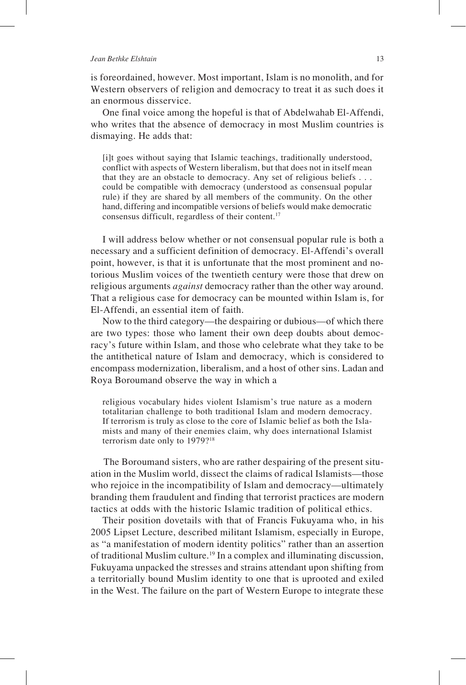is foreordained, however. Most important, Islam is no monolith, and for Western observers of religion and democracy to treat it as such does it an enormous disservice.

One final voice among the hopeful is that of Abdelwahab El-Affendi, who writes that the absence of democracy in most Muslim countries is dismaying. He adds that:

[i]t goes without saying that Islamic teachings, traditionally understood, conflict with aspects of Western liberalism, but that does not in itself mean that they are an obstacle to democracy. Any set of religious beliefs . . . could be compatible with democracy (understood as consensual popular rule) if they are shared by all members of the community. On the other hand, differing and incompatible versions of beliefs would make democratic consensus difficult, regardless of their content.17

I will address below whether or not consensual popular rule is both a necessary and a sufficient definition of democracy. El-Affendi's overall point, however, is that it is unfortunate that the most prominent and notorious Muslim voices of the twentieth century were those that drew on religious arguments *against* democracy rather than the other way around. That a religious case for democracy can be mounted within Islam is, for El-Affendi, an essential item of faith.

Now to the third category—the despairing or dubious—of which there are two types: those who lament their own deep doubts about democracy's future within Islam, and those who celebrate what they take to be the antithetical nature of Islam and democracy, which is considered to encompass modernization, liberalism, and a host of other sins. Ladan and Roya Boroumand observe the way in which a

religious vocabulary hides violent Islamism's true nature as a modern totalitarian challenge to both traditional Islam and modern democracy. If terrorism is truly as close to the core of Islamic belief as both the Islamists and many of their enemies claim, why does international Islamist terrorism date only to 1979?18

The Boroumand sisters, who are rather despairing of the present situation in the Muslim world, dissect the claims of radical Islamists—those who rejoice in the incompatibility of Islam and democracy—ultimately branding them fraudulent and finding that terrorist practices are modern tactics at odds with the historic Islamic tradition of political ethics.

Their position dovetails with that of Francis Fukuyama who, in his 2005 Lipset Lecture, described militant Islamism, especially in Europe, as "a manifestation of modern identity politics" rather than an assertion of traditional Muslim culture.19 In a complex and illuminating discussion, Fukuyama unpacked the stresses and strains attendant upon shifting from a territorially bound Muslim identity to one that is uprooted and exiled in the West. The failure on the part of Western Europe to integrate these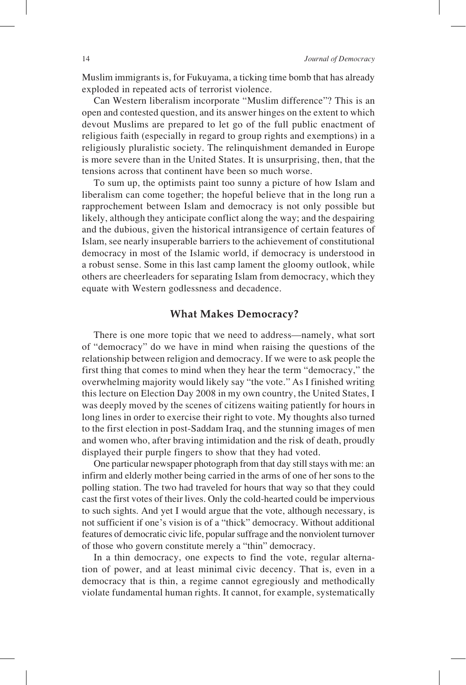Muslim immigrants is, for Fukuyama, a ticking time bomb that has already exploded in repeated acts of terrorist violence.

Can Western liberalism incorporate "Muslim difference"? This is an open and contested question, and its answer hinges on the extent to which devout Muslims are prepared to let go of the full public enactment of religious faith (especially in regard to group rights and exemptions) in a religiously pluralistic society. The relinquishment demanded in Europe is more severe than in the United States. It is unsurprising, then, that the tensions across that continent have been so much worse.

To sum up, the optimists paint too sunny a picture of how Islam and liberalism can come together; the hopeful believe that in the long run a rapprochement between Islam and democracy is not only possible but likely, although they anticipate conflict along the way; and the despairing and the dubious, given the historical intransigence of certain features of Islam, see nearly insuperable barriers to the achievement of constitutional democracy in most of the Islamic world, if democracy is understood in a robust sense. Some in this last camp lament the gloomy outlook, while others are cheerleaders for separating Islam from democracy, which they equate with Western godlessness and decadence.

#### **What Makes Democracy?**

There is one more topic that we need to address—namely, what sort of "democracy" do we have in mind when raising the questions of the relationship between religion and democracy. If we were to ask people the first thing that comes to mind when they hear the term "democracy," the overwhelming majority would likely say "the vote." As I finished writing this lecture on Election Day 2008 in my own country, the United States, I was deeply moved by the scenes of citizens waiting patiently for hours in long lines in order to exercise their right to vote. My thoughts also turned to the first election in post-Saddam Iraq, and the stunning images of men and women who, after braving intimidation and the risk of death, proudly displayed their purple fingers to show that they had voted.

One particular newspaper photograph from that day still stays with me: an infirm and elderly mother being carried in the arms of one of her sons to the polling station. The two had traveled for hours that way so that they could cast the first votes of their lives. Only the cold-hearted could be impervious to such sights. And yet I would argue that the vote, although necessary, is not sufficient if one's vision is of a "thick" democracy. Without additional features of democratic civic life, popular suffrage and the nonviolent turnover of those who govern constitute merely a "thin" democracy.

In a thin democracy, one expects to find the vote, regular alternation of power, and at least minimal civic decency. That is, even in a democracy that is thin, a regime cannot egregiously and methodically violate fundamental human rights. It cannot, for example, systematically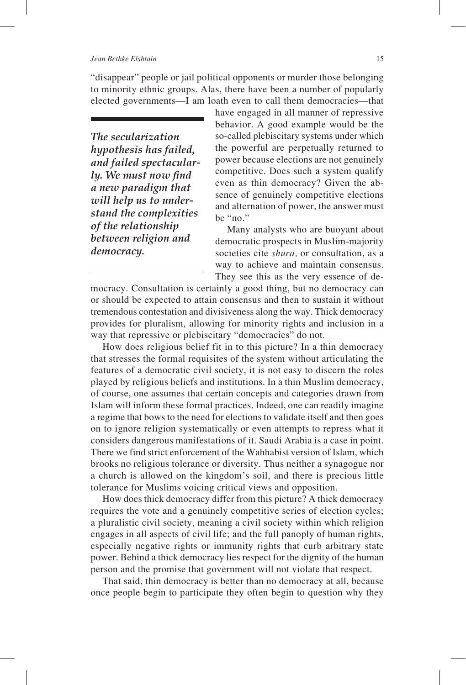"disappear" people or jail political opponents or murder those belonging to minority ethnic groups. Alas, there have been a number of popularly elected governments—I am loath even to call them democracies—that

*The secularization hypothesis has failed, and failed spectacularly. We must now find a new paradigm that will help us to understand the complexities of the relationship between religion and democracy.* 

have engaged in all manner of repressive behavior. A good example would be the so-called plebiscitary systems under which the powerful are perpetually returned to power because elections are not genuinely competitive. Does such a system qualify even as thin democracy? Given the absence of genuinely competitive elections and alternation of power, the answer must be "no."

Many analysts who are buoyant about democratic prospects in Muslim-majority societies cite *shura,* or consultation, as a way to achieve and maintain consensus. They see this as the very essence of de-

mocracy. Consultation is certainly a good thing, but no democracy can or should be expected to attain consensus and then to sustain it without tremendous contestation and divisiveness along the way. Thick democracy provides for pluralism, allowing for minority rights and inclusion in a way that repressive or plebiscitary "democracies" do not.

How does religious belief fit in to this picture? In a thin democracy that stresses the formal requisites of the system without articulating the features of a democratic civil society, it is not easy to discern the roles played by religious beliefs and institutions. In a thin Muslim democracy, of course, one assumes that certain concepts and categories drawn from Islam will inform these formal practices. Indeed, one can readily imagine a regime that bows to the need for elections to validate itself and then goes on to ignore religion systematically or even attempts to repress what it considers dangerous manifestations of it. Saudi Arabia is a case in point. There we find strict enforcement of the Wahhabist version of Islam, which brooks no religious tolerance or diversity. Thus neither a synagogue nor a church is allowed on the kingdom's soil, and there is precious little tolerance for Muslims voicing critical views and opposition.

How does thick democracy differ from this picture? A thick democracy requires the vote and a genuinely competitive series of election cycles; a pluralistic civil society, meaning a civil society within which religion engages in all aspects of civil life; and the full panoply of human rights, especially negative rights or immunity rights that curb arbitrary state power. Behind a thick democracy lies respect for the dignity of the human person and the promise that government will not violate that respect.

That said, thin democracy is better than no democracy at all, because once people begin to participate they often begin to question why they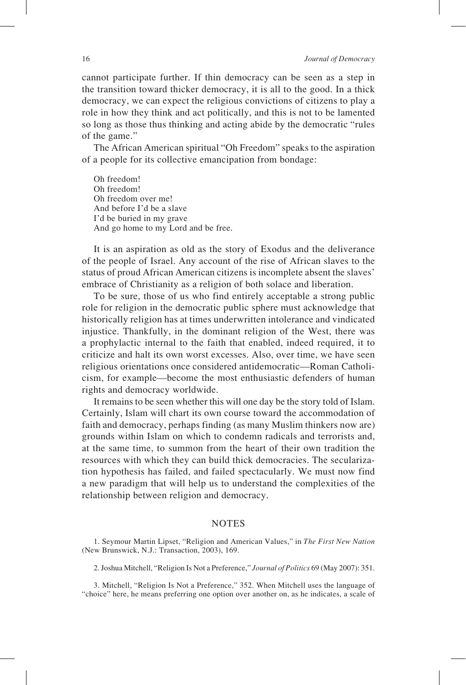cannot participate further. If thin democracy can be seen as a step in the transition toward thicker democracy, it is all to the good. In a thick democracy, we can expect the religious convictions of citizens to play a role in how they think and act politically, and this is not to be lamented so long as those thus thinking and acting abide by the democratic "rules of the game."

The African American spiritual "Oh Freedom" speaks to the aspiration of a people for its collective emancipation from bondage:

Oh freedom! Oh freedom! Oh freedom over me! And before I'd be a slave I'd be buried in my grave And go home to my Lord and be free.

It is an aspiration as old as the story of Exodus and the deliverance of the people of Israel. Any account of the rise of African slaves to the status of proud African American citizens is incomplete absent the slaves' embrace of Christianity as a religion of both solace and liberation.

To be sure, those of us who find entirely acceptable a strong public role for religion in the democratic public sphere must acknowledge that historically religion has at times underwritten intolerance and vindicated injustice. Thankfully, in the dominant religion of the West, there was a prophylactic internal to the faith that enabled, indeed required, it to criticize and halt its own worst excesses. Also, over time, we have seen religious orientations once considered antidemocratic—Roman Catholicism, for example—become the most enthusiastic defenders of human rights and democracy worldwide.

It remains to be seen whether this will one day be the story told of Islam. Certainly, Islam will chart its own course toward the accommodation of faith and democracy, perhaps finding (as many Muslim thinkers now are) grounds within Islam on which to condemn radicals and terrorists and, at the same time, to summon from the heart of their own tradition the resources with which they can build thick democracies. The secularization hypothesis has failed, and failed spectacularly. We must now find a new paradigm that will help us to understand the complexities of the relationship between religion and democracy.

#### NOTES

1. Seymour Martin Lipset, "Religion and American Values," in *The First New Nation* (New Brunswick, N.J.: Transaction, 2003), 169.

2. Joshua Mitchell, "Religion Is Not a Preference," *Journal of Politics* 69 (May 2007): 351.

3. Mitchell, "Religion Is Not a Preference," 352. When Mitchell uses the language of "choice" here, he means preferring one option over another on, as he indicates, a scale of